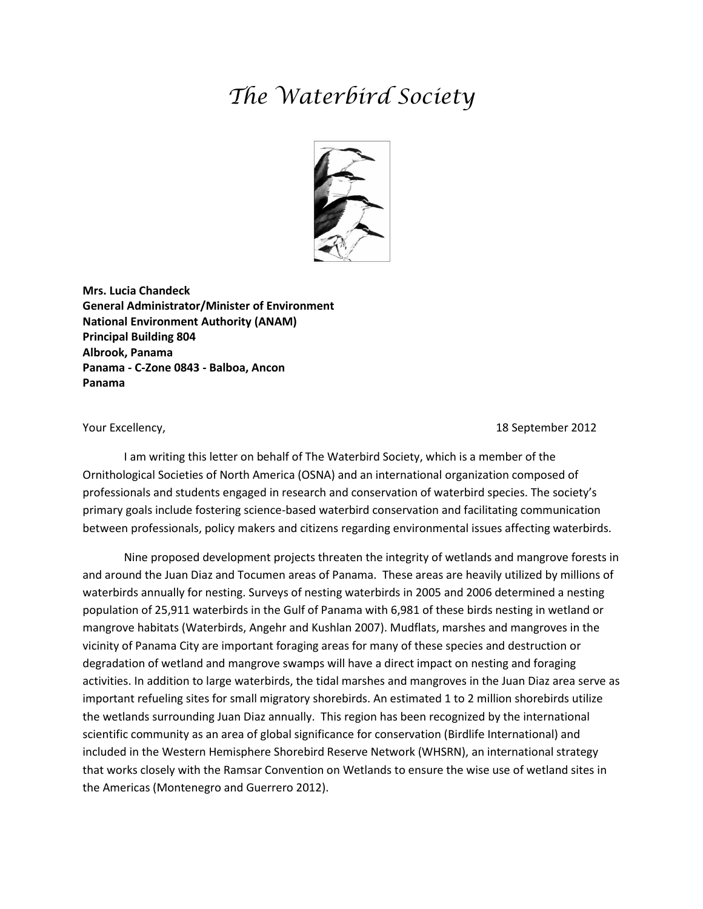## *The Waterbird Society*



**Mrs. Lucia Chandeck General Administrator/Minister of Environment National Environment Authority (ANAM) Principal Building 804 Albrook, Panama Panama - C-Zone 0843 - Balboa, Ancon Panama**

Your Excellency, 18 September 2012

I am writing this letter on behalf of The Waterbird Society, which is a member of the Ornithological Societies of North America (OSNA) and an international organization composed of professionals and students engaged in research and conservation of waterbird species. The society's primary goals include fostering science-based waterbird conservation and facilitating communication between professionals, policy makers and citizens regarding environmental issues affecting waterbirds.

Nine proposed development projects threaten the integrity of wetlands and mangrove forests in and around the Juan Diaz and Tocumen areas of Panama. These areas are heavily utilized by millions of waterbirds annually for nesting. Surveys of nesting waterbirds in 2005 and 2006 determined a nesting population of 25,911 waterbirds in the Gulf of Panama with 6,981 of these birds nesting in wetland or mangrove habitats (Waterbirds, Angehr and Kushlan 2007). Mudflats, marshes and mangroves in the vicinity of Panama City are important foraging areas for many of these species and destruction or degradation of wetland and mangrove swamps will have a direct impact on nesting and foraging activities. In addition to large waterbirds, the tidal marshes and mangroves in the Juan Diaz area serve as important refueling sites for small migratory shorebirds. An estimated 1 to 2 million shorebirds utilize the wetlands surrounding Juan Diaz annually. This region has been recognized by the international scientific community as an area of global significance for conservation (Birdlife International) and included in the Western Hemisphere Shorebird Reserve Network (WHSRN), an international strategy that works closely with the Ramsar Convention on Wetlands to ensure the wise use of wetland sites in the Americas (Montenegro and Guerrero 2012).